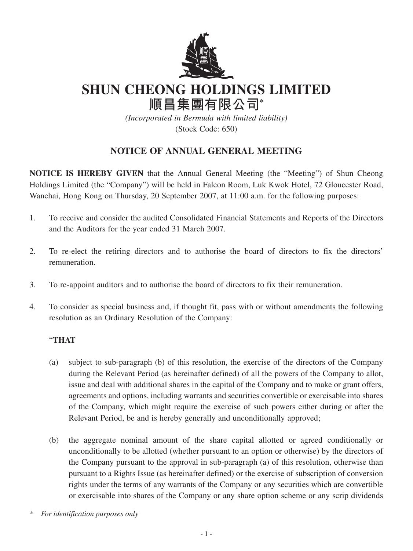

**SHUN CHEONG HOLDINGS LIMITED**

**順昌集團有限公司\***

*(Incorporated in Bermuda with limited liability)* (Stock Code: 650)

## **NOTICE OF ANNUAL GENERAL MEETING**

**NOTICE IS HEREBY GIVEN** that the Annual General Meeting (the "Meeting") of Shun Cheong Holdings Limited (the "Company") will be held in Falcon Room, Luk Kwok Hotel, 72 Gloucester Road, Wanchai, Hong Kong on Thursday, 20 September 2007, at 11:00 a.m. for the following purposes:

- 1. To receive and consider the audited Consolidated Financial Statements and Reports of the Directors and the Auditors for the year ended 31 March 2007.
- 2. To re-elect the retiring directors and to authorise the board of directors to fix the directors' remuneration.
- 3. To re-appoint auditors and to authorise the board of directors to fix their remuneration.
- 4. To consider as special business and, if thought fit, pass with or without amendments the following resolution as an Ordinary Resolution of the Company:

## "**THAT**

- (a) subject to sub-paragraph (b) of this resolution, the exercise of the directors of the Company during the Relevant Period (as hereinafter defined) of all the powers of the Company to allot, issue and deal with additional shares in the capital of the Company and to make or grant offers, agreements and options, including warrants and securities convertible or exercisable into shares of the Company, which might require the exercise of such powers either during or after the Relevant Period, be and is hereby generally and unconditionally approved;
- (b) the aggregate nominal amount of the share capital allotted or agreed conditionally or unconditionally to be allotted (whether pursuant to an option or otherwise) by the directors of the Company pursuant to the approval in sub-paragraph (a) of this resolution, otherwise than pursuant to a Rights Issue (as hereinafter defined) or the exercise of subscription of conversion rights under the terms of any warrants of the Company or any securities which are convertible or exercisable into shares of the Company or any share option scheme or any scrip dividends

*<sup>\*</sup> For identification purposes only*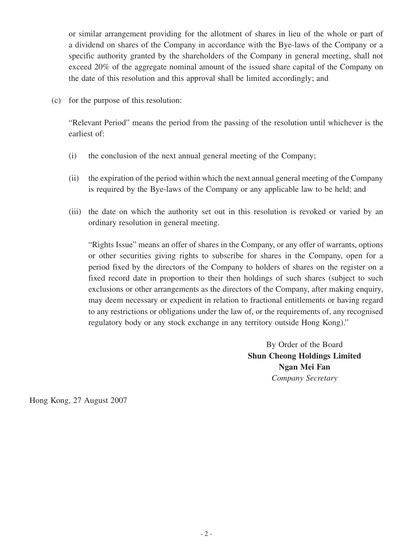or similar arrangement providing for the allotment of shares in lieu of the whole or part of a dividend on shares of the Company in accordance with the Bye-laws of the Company or a specific authority granted by the shareholders of the Company in general meeting, shall not exceed 20% of the aggregate nominal amount of the issued share capital of the Company on the date of this resolution and this approval shall be limited accordingly; and

(c) for the purpose of this resolution:

"Relevant Period" means the period from the passing of the resolution until whichever is the earliest of:

- (i) the conclusion of the next annual general meeting of the Company;
- (ii) the expiration of the period within which the next annual general meeting of the Company is required by the Bye-laws of the Company or any applicable law to be held; and
- (iii) the date on which the authority set out in this resolution is revoked or varied by an ordinary resolution in general meeting.

"Rights Issue" means an offer of shares in the Company, or any offer of warrants, options or other securities giving rights to subscribe for shares in the Company, open for a period fixed by the directors of the Company to holders of shares on the register on a fixed record date in proportion to their then holdings of such shares (subject to such exclusions or other arrangements as the directors of the Company, after making enquiry, may deem necessary or expedient in relation to fractional entitlements or having regard to any restrictions or obligations under the law of, or the requirements of, any recognised regulatory body or any stock exchange in any territory outside Hong Kong)."

> By Order of the Board **Shun Cheong Holdings Limited Ngan Mei Fan** *Company Secretary*

Hong Kong, 27 August 2007